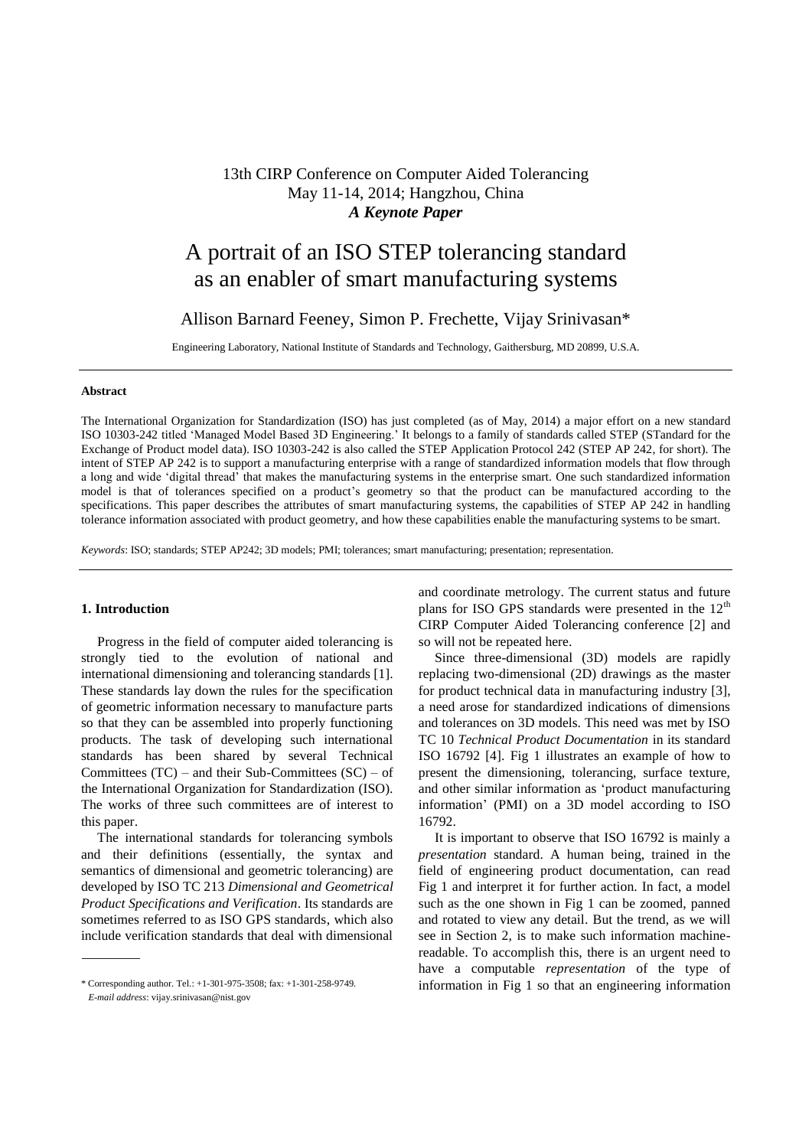# 13th CIRP Conference on Computer Aided Tolerancing May 11-14, 2014; Hangzhou, China *A Keynote Paper*

# A portrait of an ISO STEP tolerancing standard as an enabler of smart manufacturing systems

# Allison Barnard Feeney, Simon P. Frechette, Vijay Srinivasan\*

Engineering Laboratory, National Institute of Standards and Technology, Gaithersburg, MD 20899, U.S.A.

#### **Abstract**

The International Organization for Standardization (ISO) has just completed (as of May, 2014) a major effort on a new standard ISO 10303-242 titled 'Managed Model Based 3D Engineering.' It belongs to a family of standards called STEP (STandard for the Exchange of Product model data). ISO 10303-242 is also called the STEP Application Protocol 242 (STEP AP 242, for short). The intent of STEP AP 242 is to support a manufacturing enterprise with a range of standardized information models that flow through a long and wide 'digital thread' that makes the manufacturing systems in the enterprise smart. One such standardized information model is that of tolerances specified on a product's geometry so that the product can be manufactured according to the specifications. This paper describes the attributes of smart manufacturing systems, the capabilities of STEP AP 242 in handling tolerance information associated with product geometry, and how these capabilities enable the manufacturing systems to be smart.

*Keywords*: ISO; standards; STEP AP242; 3D models; PMI; tolerances; smart manufacturing; presentation; representation.

#### **1. Introduction<sup>a</sup>**

Progress in the field of computer aided tolerancing is strongly tied to the evolution of national and international dimensioning and tolerancing standards [1]. These standards lay down the rules for the specification of geometric information necessary to manufacture parts so that they can be assembled into properly functioning products. The task of developing such international standards has been shared by several Technical Committees  $(TC)$  – and their Sub-Committees  $(SC)$  – of the International Organization for Standardization (ISO). The works of three such committees are of interest to this paper.

The international standards for tolerancing symbols and their definitions (essentially, the syntax and semantics of dimensional and geometric tolerancing) are developed by ISO TC 213 *Dimensional and Geometrical Product Specifications and Verification*. Its standards are sometimes referred to as ISO GPS standards, which also include verification standards that deal with dimensional

and coordinate metrology. The current status and future plans for ISO GPS standards were presented in the  $12<sup>th</sup>$ CIRP Computer Aided Tolerancing conference [2] and so will not be repeated here.

Since three-dimensional (3D) models are rapidly replacing two-dimensional (2D) drawings as the master for product technical data in manufacturing industry [3], a need arose for standardized indications of dimensions and tolerances on 3D models. This need was met by ISO TC 10 *Technical Product Documentation* in its standard ISO 16792 [4]. Fig 1 illustrates an example of how to present the dimensioning, tolerancing, surface texture, and other similar information as 'product manufacturing information' (PMI) on a 3D model according to ISO 16792.

It is important to observe that ISO 16792 is mainly a *presentation* standard. A human being, trained in the field of engineering product documentation, can read Fig 1 and interpret it for further action. In fact, a model such as the one shown in Fig 1 can be zoomed, panned and rotated to view any detail. But the trend, as we will see in Section 2, is to make such information machinereadable. To accomplish this, there is an urgent need to have a computable *representation* of the type of information in Fig 1 so that an engineering information

<sup>\*</sup> Corresponding author. Tel.: +1-301-975-3508; fax: +1-301-258-9749. *E-mail address*: vijay.srinivasan@nist.gov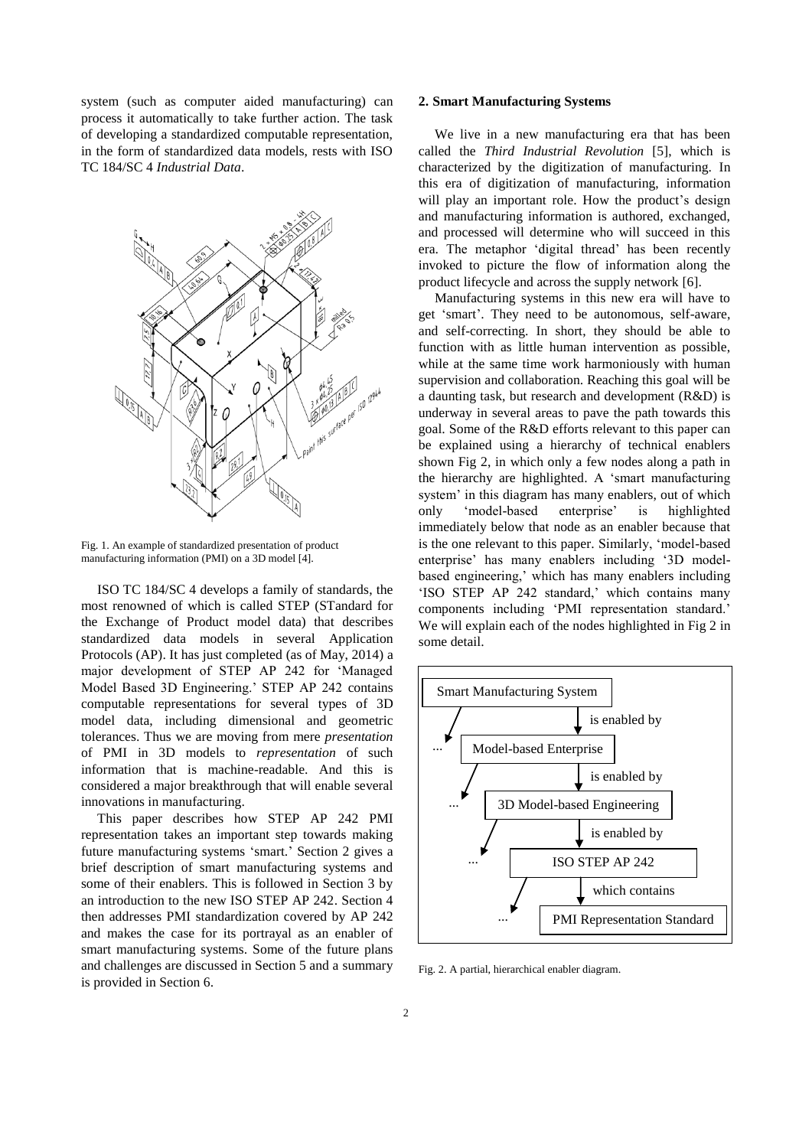system (such as computer aided manufacturing) can process it automatically to take further action. The task of developing a standardized computable representation, in the form of standardized data models, rests with ISO TC 184/SC 4 *Industrial Data*.



Fig. 1. An example of standardized presentation of product manufacturing information (PMI) on a 3D model [4].

ISO TC 184/SC 4 develops a family of standards, the most renowned of which is called STEP (STandard for the Exchange of Product model data) that describes standardized data models in several Application Protocols (AP). It has just completed (as of May, 2014) a major development of STEP AP 242 for 'Managed Model Based 3D Engineering.' STEP AP 242 contains computable representations for several types of 3D model data, including dimensional and geometric tolerances. Thus we are moving from mere *presentation* of PMI in 3D models to *representation* of such information that is machine-readable. And this is considered a major breakthrough that will enable several innovations in manufacturing.

This paper describes how STEP AP 242 PMI representation takes an important step towards making future manufacturing systems 'smart.' Section 2 gives a brief description of smart manufacturing systems and some of their enablers. This is followed in Section 3 by an introduction to the new ISO STEP AP 242. Section 4 then addresses PMI standardization covered by AP 242 and makes the case for its portrayal as an enabler of smart manufacturing systems. Some of the future plans and challenges are discussed in Section 5 and a summary is provided in Section 6.

#### **2. Smart Manufacturing Systems**

We live in a new manufacturing era that has been called the *Third Industrial Revolution* [5], which is characterized by the digitization of manufacturing. In this era of digitization of manufacturing, information will play an important role. How the product's design and manufacturing information is authored, exchanged, and processed will determine who will succeed in this era. The metaphor 'digital thread' has been recently invoked to picture the flow of information along the product lifecycle and across the supply network [6].

Manufacturing systems in this new era will have to get 'smart'. They need to be autonomous, self-aware, and self-correcting. In short, they should be able to function with as little human intervention as possible, while at the same time work harmoniously with human supervision and collaboration. Reaching this goal will be a daunting task, but research and development (R&D) is underway in several areas to pave the path towards this goal. Some of the R&D efforts relevant to this paper can be explained using a hierarchy of technical enablers shown Fig 2, in which only a few nodes along a path in the hierarchy are highlighted. A 'smart manufacturing system' in this diagram has many enablers, out of which only 'model-based enterprise' is highlighted immediately below that node as an enabler because that is the one relevant to this paper. Similarly, 'model-based enterprise' has many enablers including '3D modelbased engineering,' which has many enablers including 'ISO STEP AP 242 standard,' which contains many components including 'PMI representation standard.' We will explain each of the nodes highlighted in Fig 2 in some detail.



Fig. 2. A partial, hierarchical enabler diagram.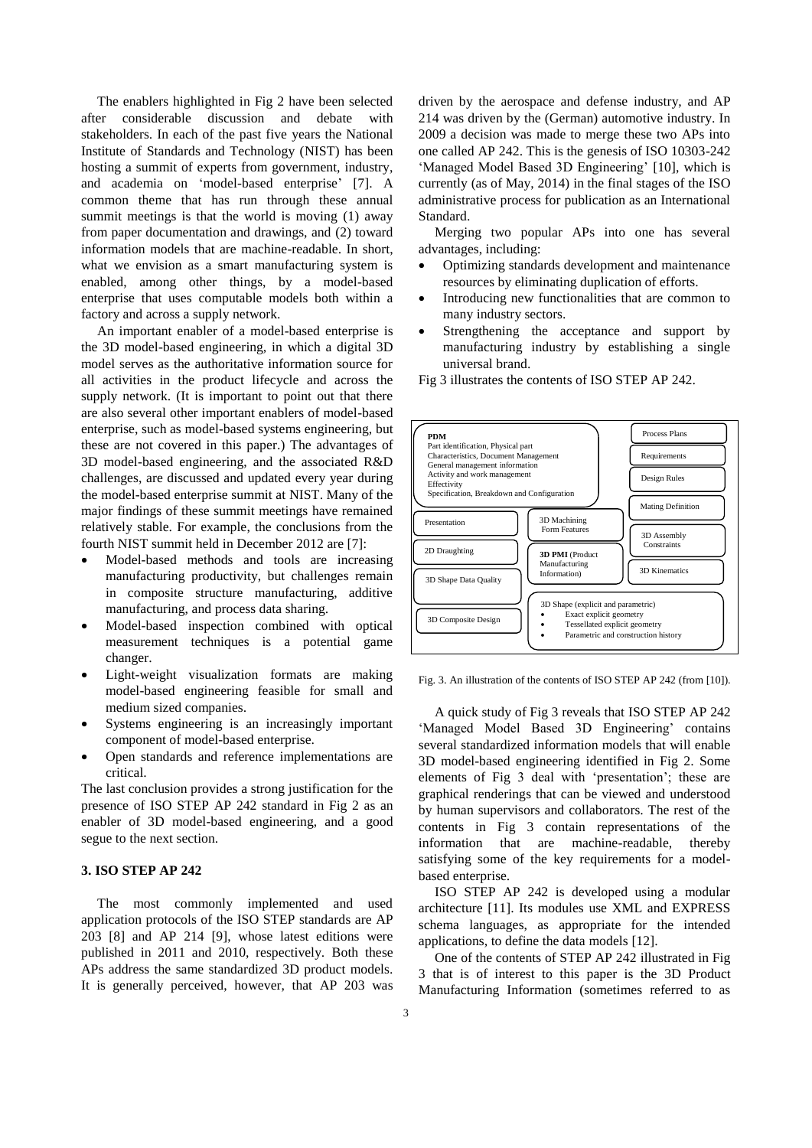The enablers highlighted in Fig 2 have been selected after considerable discussion and debate with stakeholders. In each of the past five years the National Institute of Standards and Technology (NIST) has been hosting a summit of experts from government, industry, and academia on 'model-based enterprise' [7]. A common theme that has run through these annual summit meetings is that the world is moving (1) away from paper documentation and drawings, and (2) toward information models that are machine-readable. In short, what we envision as a smart manufacturing system is enabled, among other things, by a model-based enterprise that uses computable models both within a factory and across a supply network.

An important enabler of a model-based enterprise is the 3D model-based engineering, in which a digital 3D model serves as the authoritative information source for all activities in the product lifecycle and across the supply network. (It is important to point out that there are also several other important enablers of model-based enterprise, such as model-based systems engineering, but these are not covered in this paper.) The advantages of 3D model-based engineering, and the associated R&D challenges, are discussed and updated every year during the model-based enterprise summit at NIST. Many of the major findings of these summit meetings have remained relatively stable. For example, the conclusions from the fourth NIST summit held in December 2012 are [7]:

- Model-based methods and tools are increasing manufacturing productivity, but challenges remain in composite structure manufacturing, additive manufacturing, and process data sharing.
- Model-based inspection combined with optical measurement techniques is a potential game changer.
- Light-weight visualization formats are making model-based engineering feasible for small and medium sized companies.
- Systems engineering is an increasingly important component of model-based enterprise.
- Open standards and reference implementations are critical.

The last conclusion provides a strong justification for the presence of ISO STEP AP 242 standard in Fig 2 as an enabler of 3D model-based engineering, and a good segue to the next section.

## **3. ISO STEP AP 242**

The most commonly implemented and used application protocols of the ISO STEP standards are AP 203 [8] and AP 214 [9], whose latest editions were published in 2011 and 2010, respectively. Both these APs address the same standardized 3D product models. It is generally perceived, however, that AP 203 was driven by the aerospace and defense industry, and AP 214 was driven by the (German) automotive industry. In 2009 a decision was made to merge these two APs into one called AP 242. This is the genesis of ISO 10303-242 'Managed Model Based 3D Engineering' [10], which is currently (as of May, 2014) in the final stages of the ISO administrative process for publication as an International Standard.

Merging two popular APs into one has several advantages, including:

- Optimizing standards development and maintenance resources by eliminating duplication of efforts.
- Introducing new functionalities that are common to many industry sectors.
- Strengthening the acceptance and support by manufacturing industry by establishing a single universal brand.
- Fig 3 illustrates the contents of ISO STEP AP 242.



Fig. 3. An illustration of the contents of ISO STEP AP 242 (from [10]).

A quick study of Fig 3 reveals that ISO STEP AP 242 'Managed Model Based 3D Engineering' contains several standardized information models that will enable 3D model-based engineering identified in Fig 2. Some elements of Fig 3 deal with 'presentation'; these are graphical renderings that can be viewed and understood by human supervisors and collaborators. The rest of the contents in Fig 3 contain representations of the information that are machine-readable, thereby satisfying some of the key requirements for a modelbased enterprise.

ISO STEP AP 242 is developed using a modular architecture [11]. Its modules use XML and EXPRESS schema languages, as appropriate for the intended applications, to define the data models [12].

One of the contents of STEP AP 242 illustrated in Fig 3 that is of interest to this paper is the 3D Product Manufacturing Information (sometimes referred to as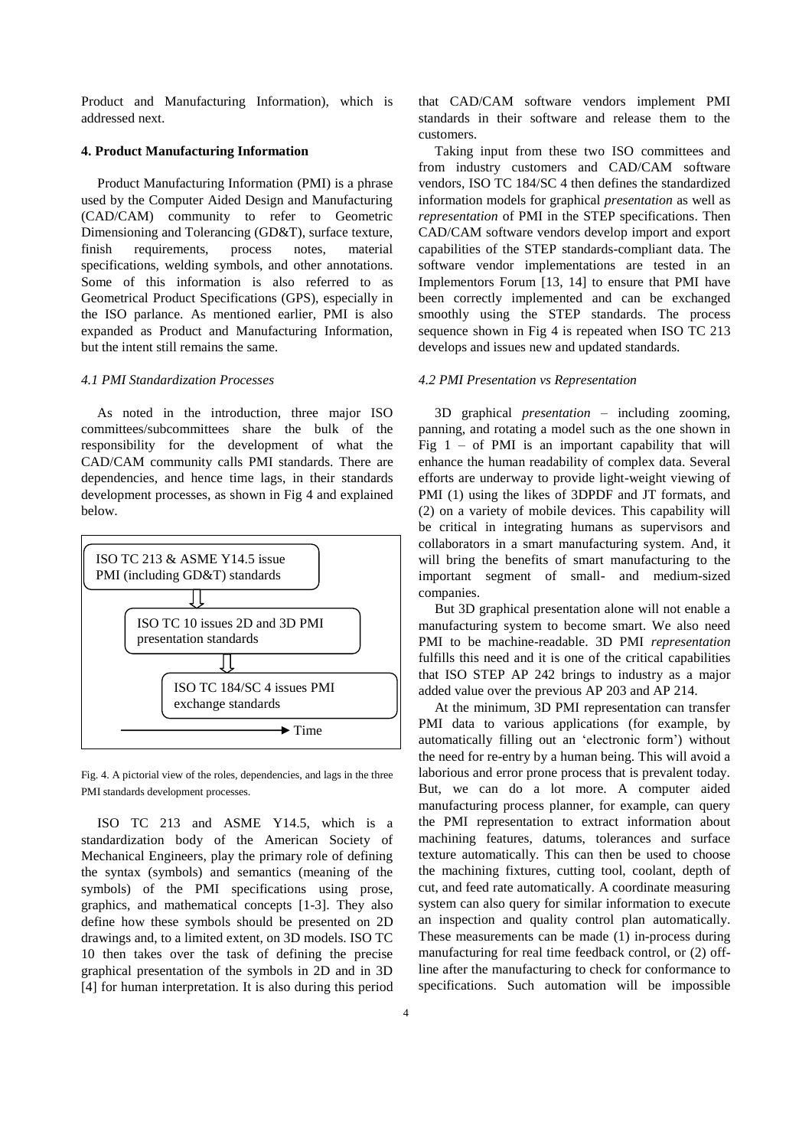Product and Manufacturing Information), which is addressed next.

#### **4. Product Manufacturing Information**

Product Manufacturing Information (PMI) is a phrase used by the Computer Aided Design and Manufacturing (CAD/CAM) community to refer to Geometric Dimensioning and Tolerancing (GD&T), surface texture, finish requirements, process notes, material specifications, welding symbols, and other annotations. Some of this information is also referred to as Geometrical Product Specifications (GPS), especially in the ISO parlance. As mentioned earlier, PMI is also expanded as Product and Manufacturing Information, but the intent still remains the same.

## *4.1 PMI Standardization Processes*

As noted in the introduction, three major ISO committees/subcommittees share the bulk of the responsibility for the development of what the CAD/CAM community calls PMI standards. There are dependencies, and hence time lags, in their standards development processes, as shown in Fig 4 and explained below.



Fig. 4. A pictorial view of the roles, dependencies, and lags in the three PMI standards development processes.

ISO TC 213 and ASME Y14.5, which is a standardization body of the American Society of Mechanical Engineers, play the primary role of defining the syntax (symbols) and semantics (meaning of the symbols) of the PMI specifications using prose, graphics, and mathematical concepts [1-3]. They also define how these symbols should be presented on 2D drawings and, to a limited extent, on 3D models. ISO TC 10 then takes over the task of defining the precise graphical presentation of the symbols in 2D and in 3D [4] for human interpretation. It is also during this period

that CAD/CAM software vendors implement PMI standards in their software and release them to the customers.

Taking input from these two ISO committees and from industry customers and CAD/CAM software vendors, ISO TC 184/SC 4 then defines the standardized information models for graphical *presentation* as well as *representation* of PMI in the STEP specifications. Then CAD/CAM software vendors develop import and export capabilities of the STEP standards-compliant data. The software vendor implementations are tested in an Implementors Forum [13, 14] to ensure that PMI have been correctly implemented and can be exchanged smoothly using the STEP standards. The process sequence shown in Fig 4 is repeated when ISO TC 213 develops and issues new and updated standards.

#### *4.2 PMI Presentation vs Representation*

3D graphical *presentation* – including zooming, panning, and rotating a model such as the one shown in Fig  $1 - of PMI$  is an important capability that will enhance the human readability of complex data. Several efforts are underway to provide light-weight viewing of PMI (1) using the likes of 3DPDF and JT formats, and (2) on a variety of mobile devices. This capability will be critical in integrating humans as supervisors and collaborators in a smart manufacturing system. And, it will bring the benefits of smart manufacturing to the important segment of small- and medium-sized companies.

But 3D graphical presentation alone will not enable a manufacturing system to become smart. We also need PMI to be machine-readable. 3D PMI *representation*  fulfills this need and it is one of the critical capabilities that ISO STEP AP 242 brings to industry as a major added value over the previous AP 203 and AP 214.

At the minimum, 3D PMI representation can transfer PMI data to various applications (for example, by automatically filling out an 'electronic form') without the need for re-entry by a human being. This will avoid a laborious and error prone process that is prevalent today. But, we can do a lot more. A computer aided manufacturing process planner, for example, can query the PMI representation to extract information about machining features, datums, tolerances and surface texture automatically. This can then be used to choose the machining fixtures, cutting tool, coolant, depth of cut, and feed rate automatically. A coordinate measuring system can also query for similar information to execute an inspection and quality control plan automatically. These measurements can be made (1) in-process during manufacturing for real time feedback control, or (2) offline after the manufacturing to check for conformance to specifications. Such automation will be impossible